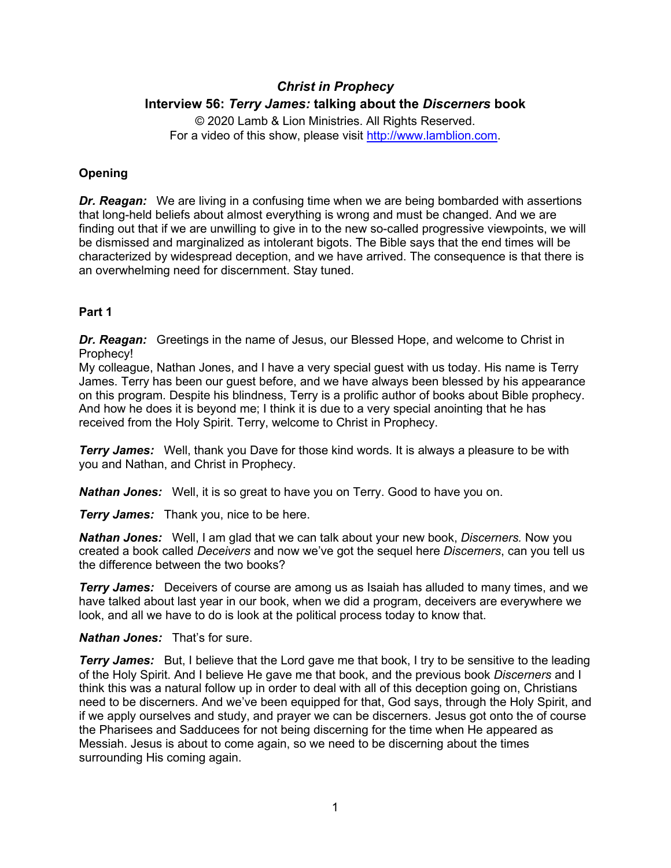# *Christ in Prophecy* **Interview 56:** *Terry James:* **talking about the** *Discerners* **book**

© 2020 Lamb & Lion Ministries. All Rights Reserved. For a video of this show, please visit [http://www.lamblion.com.](http://www.lamblion.com/)

# **Opening**

*Dr. Reagan:* We are living in a confusing time when we are being bombarded with assertions that long-held beliefs about almost everything is wrong and must be changed. And we are finding out that if we are unwilling to give in to the new so-called progressive viewpoints, we will be dismissed and marginalized as intolerant bigots. The Bible says that the end times will be characterized by widespread deception, and we have arrived. The consequence is that there is an overwhelming need for discernment. Stay tuned.

## **Part 1**

*Dr. Reagan:* Greetings in the name of Jesus, our Blessed Hope, and welcome to Christ in Prophecy!

My colleague, Nathan Jones, and I have a very special guest with us today. His name is Terry James. Terry has been our guest before, and we have always been blessed by his appearance on this program. Despite his blindness, Terry is a prolific author of books about Bible prophecy. And how he does it is beyond me; I think it is due to a very special anointing that he has received from the Holy Spirit. Terry, welcome to Christ in Prophecy.

*Terry James:* Well, thank you Dave for those kind words. It is always a pleasure to be with you and Nathan, and Christ in Prophecy.

*Nathan Jones:* Well, it is so great to have you on Terry. Good to have you on.

**Terry James:** Thank you, nice to be here.

*Nathan Jones:* Well, I am glad that we can talk about your new book, *Discerners.* Now you created a book called *Deceivers* and now we've got the sequel here *Discerners*, can you tell us the difference between the two books?

*Terry James:* Deceivers of course are among us as Isaiah has alluded to many times, and we have talked about last year in our book, when we did a program, deceivers are everywhere we look, and all we have to do is look at the political process today to know that.

*Nathan Jones:* That's for sure.

**Terry James:** But, I believe that the Lord gave me that book, I try to be sensitive to the leading of the Holy Spirit. And I believe He gave me that book, and the previous book *Discerners* and I think this was a natural follow up in order to deal with all of this deception going on, Christians need to be discerners. And we've been equipped for that, God says, through the Holy Spirit, and if we apply ourselves and study, and prayer we can be discerners. Jesus got onto the of course the Pharisees and Sadducees for not being discerning for the time when He appeared as Messiah. Jesus is about to come again, so we need to be discerning about the times surrounding His coming again.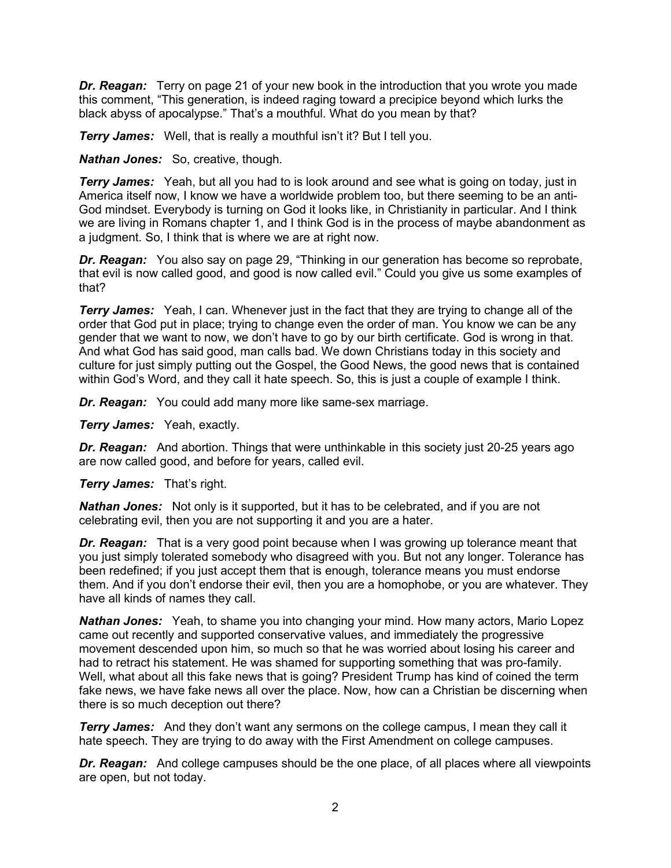*Dr. Reagan:* Terry on page 21 of your new book in the introduction that you wrote you made this comment, "This generation, is indeed raging toward a precipice beyond which lurks the black abyss of apocalypse." That's a mouthful. What do you mean by that?

**Terry James:** Well, that is really a mouthful isn't it? But I tell you.

*Nathan Jones:* So, creative, though.

**Terry James:** Yeah, but all you had to is look around and see what is going on today, just in America itself now, I know we have a worldwide problem too, but there seeming to be an anti-God mindset. Everybody is turning on God it looks like, in Christianity in particular. And I think we are living in Romans chapter 1, and I think God is in the process of maybe abandonment as a judgment. So, I think that is where we are at right now.

*Dr. Reagan:* You also say on page 29, "Thinking in our generation has become so reprobate, that evil is now called good, and good is now called evil." Could you give us some examples of that?

*Terry James:* Yeah, I can. Whenever just in the fact that they are trying to change all of the order that God put in place; trying to change even the order of man. You know we can be any gender that we want to now, we don't have to go by our birth certificate. God is wrong in that. And what God has said good, man calls bad. We down Christians today in this society and culture for just simply putting out the Gospel, the Good News, the good news that is contained within God's Word, and they call it hate speech. So, this is just a couple of example I think.

*Dr. Reagan:* You could add many more like same-sex marriage.

*Terry James:* Yeah, exactly.

*Dr. Reagan:* And abortion. Things that were unthinkable in this society just 20-25 years ago are now called good, and before for years, called evil.

*Terry James:* That's right.

*Nathan Jones:* Not only is it supported, but it has to be celebrated, and if you are not celebrating evil, then you are not supporting it and you are a hater.

**Dr. Reagan:** That is a very good point because when I was growing up tolerance meant that you just simply tolerated somebody who disagreed with you. But not any longer. Tolerance has been redefined; if you just accept them that is enough, tolerance means you must endorse them. And if you don't endorse their evil, then you are a homophobe, or you are whatever. They have all kinds of names they call.

*Nathan Jones:* Yeah, to shame you into changing your mind. How many actors, Mario Lopez came out recently and supported conservative values, and immediately the progressive movement descended upon him, so much so that he was worried about losing his career and had to retract his statement. He was shamed for supporting something that was pro-family. Well, what about all this fake news that is going? President Trump has kind of coined the term fake news, we have fake news all over the place. Now, how can a Christian be discerning when there is so much deception out there?

*Terry James:* And they don't want any sermons on the college campus, I mean they call it hate speech. They are trying to do away with the First Amendment on college campuses.

*Dr. Reagan:* And college campuses should be the one place, of all places where all viewpoints are open, but not today.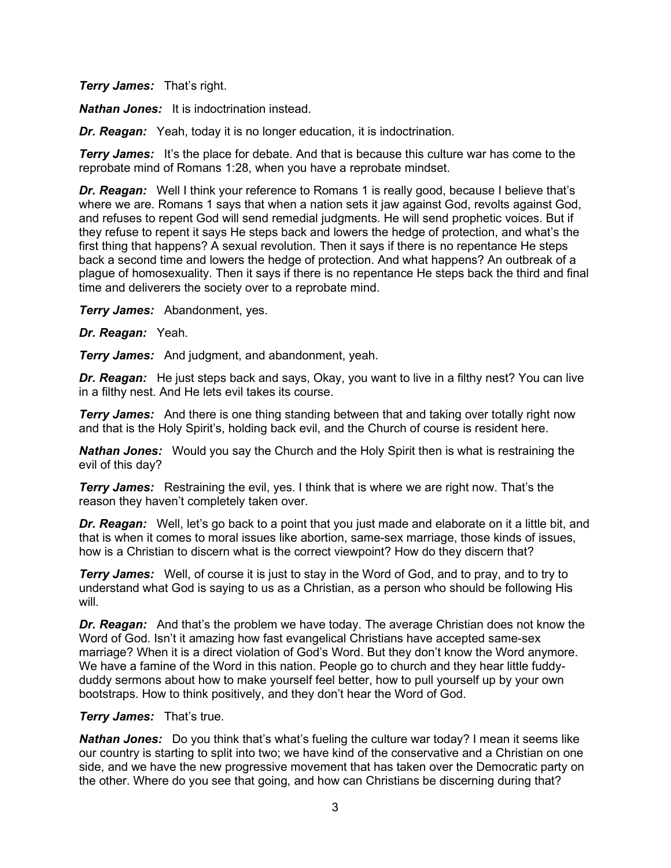*Terry James:* That's right.

*Nathan Jones:* It is indoctrination instead.

*Dr. Reagan:* Yeah, today it is no longer education, it is indoctrination.

*Terry James:* It's the place for debate. And that is because this culture war has come to the reprobate mind of Romans 1:28, when you have a reprobate mindset.

*Dr. Reagan:* Well I think your reference to Romans 1 is really good, because I believe that's where we are. Romans 1 says that when a nation sets it jaw against God, revolts against God, and refuses to repent God will send remedial judgments. He will send prophetic voices. But if they refuse to repent it says He steps back and lowers the hedge of protection, and what's the first thing that happens? A sexual revolution. Then it says if there is no repentance He steps back a second time and lowers the hedge of protection. And what happens? An outbreak of a plague of homosexuality. Then it says if there is no repentance He steps back the third and final time and deliverers the society over to a reprobate mind.

*Terry James:* Abandonment, yes.

*Dr. Reagan:* Yeah.

*Terry James:* And judgment, and abandonment, yeah.

*Dr. Reagan:* He just steps back and says, Okay, you want to live in a filthy nest? You can live in a filthy nest. And He lets evil takes its course.

**Terry James:** And there is one thing standing between that and taking over totally right now and that is the Holy Spirit's, holding back evil, and the Church of course is resident here.

*Nathan Jones:* Would you say the Church and the Holy Spirit then is what is restraining the evil of this day?

**Terry James:** Restraining the evil, yes. I think that is where we are right now. That's the reason they haven't completely taken over.

*Dr. Reagan:* Well, let's go back to a point that you just made and elaborate on it a little bit, and that is when it comes to moral issues like abortion, same-sex marriage, those kinds of issues, how is a Christian to discern what is the correct viewpoint? How do they discern that?

**Terry James:** Well, of course it is just to stay in the Word of God, and to pray, and to try to understand what God is saying to us as a Christian, as a person who should be following His will.

*Dr. Reagan:* And that's the problem we have today. The average Christian does not know the Word of God. Isn't it amazing how fast evangelical Christians have accepted same-sex marriage? When it is a direct violation of God's Word. But they don't know the Word anymore. We have a famine of the Word in this nation. People go to church and they hear little fuddyduddy sermons about how to make yourself feel better, how to pull yourself up by your own bootstraps. How to think positively, and they don't hear the Word of God.

## *Terry James:* That's true.

**Nathan Jones:** Do you think that's what's fueling the culture war today? I mean it seems like our country is starting to split into two; we have kind of the conservative and a Christian on one side, and we have the new progressive movement that has taken over the Democratic party on the other. Where do you see that going, and how can Christians be discerning during that?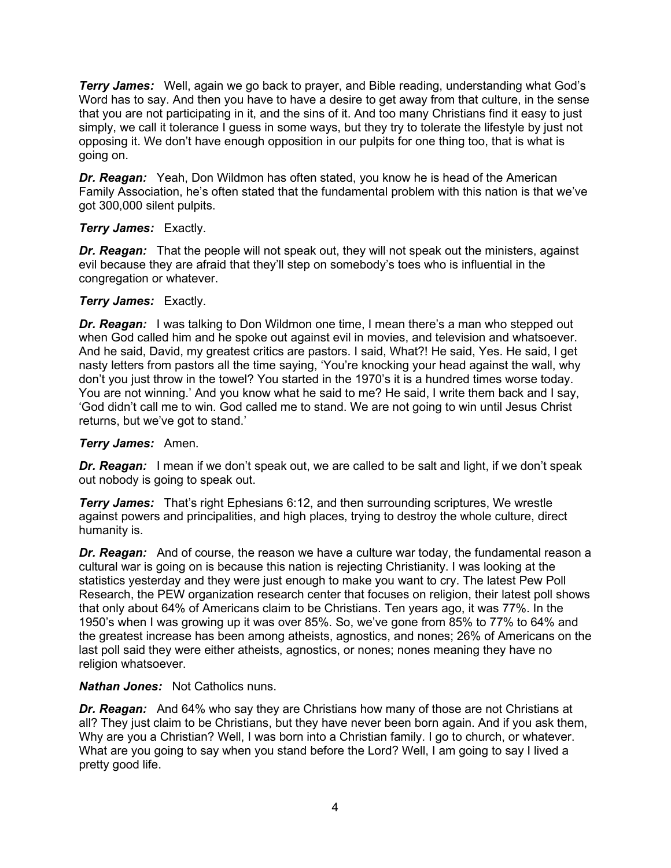*Terry James:* Well, again we go back to prayer, and Bible reading, understanding what God's Word has to say. And then you have to have a desire to get away from that culture, in the sense that you are not participating in it, and the sins of it. And too many Christians find it easy to just simply, we call it tolerance I guess in some ways, but they try to tolerate the lifestyle by just not opposing it. We don't have enough opposition in our pulpits for one thing too, that is what is going on.

*Dr. Reagan:* Yeah, Don Wildmon has often stated, you know he is head of the American Family Association, he's often stated that the fundamental problem with this nation is that we've got 300,000 silent pulpits.

## *Terry James:* Exactly.

*Dr. Reagan:* That the people will not speak out, they will not speak out the ministers, against evil because they are afraid that they'll step on somebody's toes who is influential in the congregation or whatever.

## *Terry James:* Exactly.

**Dr. Reagan:** I was talking to Don Wildmon one time, I mean there's a man who stepped out when God called him and he spoke out against evil in movies, and television and whatsoever. And he said, David, my greatest critics are pastors. I said, What?! He said, Yes. He said, I get nasty letters from pastors all the time saying, 'You're knocking your head against the wall, why don't you just throw in the towel? You started in the 1970's it is a hundred times worse today. You are not winning.' And you know what he said to me? He said, I write them back and I say, 'God didn't call me to win. God called me to stand. We are not going to win until Jesus Christ returns, but we've got to stand.'

## *Terry James:* Amen.

*Dr. Reagan:* I mean if we don't speak out, we are called to be salt and light, if we don't speak out nobody is going to speak out.

**Terry James:** That's right Ephesians 6:12, and then surrounding scriptures, We wrestle against powers and principalities, and high places, trying to destroy the whole culture, direct humanity is.

*Dr. Reagan:* And of course, the reason we have a culture war today, the fundamental reason a cultural war is going on is because this nation is rejecting Christianity. I was looking at the statistics yesterday and they were just enough to make you want to cry. The latest Pew Poll Research, the PEW organization research center that focuses on religion, their latest poll shows that only about 64% of Americans claim to be Christians. Ten years ago, it was 77%. In the 1950's when I was growing up it was over 85%. So, we've gone from 85% to 77% to 64% and the greatest increase has been among atheists, agnostics, and nones; 26% of Americans on the last poll said they were either atheists, agnostics, or nones; nones meaning they have no religion whatsoever.

#### *Nathan Jones:* Not Catholics nuns.

*Dr. Reagan:* And 64% who say they are Christians how many of those are not Christians at all? They just claim to be Christians, but they have never been born again. And if you ask them, Why are you a Christian? Well, I was born into a Christian family. I go to church, or whatever. What are you going to say when you stand before the Lord? Well, I am going to say I lived a pretty good life.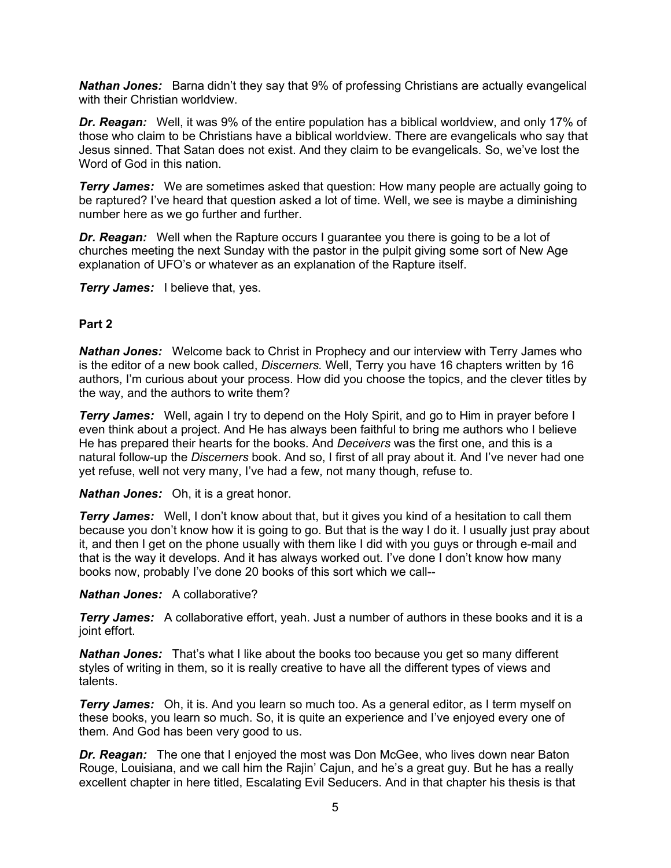*Nathan Jones:* Barna didn't they say that 9% of professing Christians are actually evangelical with their Christian worldview.

*Dr. Reagan:* Well, it was 9% of the entire population has a biblical worldview, and only 17% of those who claim to be Christians have a biblical worldview. There are evangelicals who say that Jesus sinned. That Satan does not exist. And they claim to be evangelicals. So, we've lost the Word of God in this nation.

*Terry James:* We are sometimes asked that question: How many people are actually going to be raptured? I've heard that question asked a lot of time. Well, we see is maybe a diminishing number here as we go further and further.

**Dr. Reagan:** Well when the Rapture occurs I guarantee you there is going to be a lot of churches meeting the next Sunday with the pastor in the pulpit giving some sort of New Age explanation of UFO's or whatever as an explanation of the Rapture itself.

**Terry James:** I believe that, yes.

## **Part 2**

*Nathan Jones:* Welcome back to Christ in Prophecy and our interview with Terry James who is the editor of a new book called, *Discerners.* Well, Terry you have 16 chapters written by 16 authors, I'm curious about your process. How did you choose the topics, and the clever titles by the way, and the authors to write them?

**Terry James:** Well, again I try to depend on the Holy Spirit, and go to Him in prayer before I even think about a project. And He has always been faithful to bring me authors who I believe He has prepared their hearts for the books. And *Deceivers* was the first one, and this is a natural follow-up the *Discerners* book. And so, I first of all pray about it. And I've never had one yet refuse, well not very many, I've had a few, not many though, refuse to.

*Nathan Jones:* Oh, it is a great honor.

**Terry James:** Well, I don't know about that, but it gives you kind of a hesitation to call them because you don't know how it is going to go. But that is the way I do it. I usually just pray about it, and then I get on the phone usually with them like I did with you guys or through e-mail and that is the way it develops. And it has always worked out. I've done I don't know how many books now, probably I've done 20 books of this sort which we call--

#### *Nathan Jones:* A collaborative?

**Terry James:** A collaborative effort, yeah. Just a number of authors in these books and it is a joint effort.

*Nathan Jones:* That's what I like about the books too because you get so many different styles of writing in them, so it is really creative to have all the different types of views and talents.

**Terry James:** Oh, it is. And you learn so much too. As a general editor, as I term myself on these books, you learn so much. So, it is quite an experience and I've enjoyed every one of them. And God has been very good to us.

*Dr. Reagan:* The one that I enjoyed the most was Don McGee, who lives down near Baton Rouge, Louisiana, and we call him the Rajin' Cajun, and he's a great guy. But he has a really excellent chapter in here titled, Escalating Evil Seducers. And in that chapter his thesis is that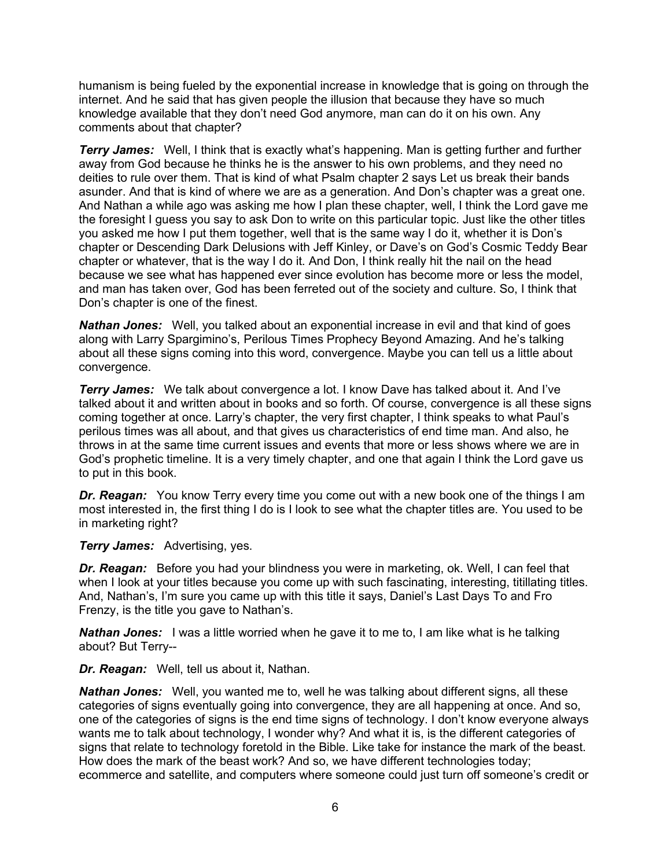humanism is being fueled by the exponential increase in knowledge that is going on through the internet. And he said that has given people the illusion that because they have so much knowledge available that they don't need God anymore, man can do it on his own. Any comments about that chapter?

**Terry James:** Well, I think that is exactly what's happening. Man is getting further and further away from God because he thinks he is the answer to his own problems, and they need no deities to rule over them. That is kind of what Psalm chapter 2 says Let us break their bands asunder. And that is kind of where we are as a generation. And Don's chapter was a great one. And Nathan a while ago was asking me how I plan these chapter, well, I think the Lord gave me the foresight I guess you say to ask Don to write on this particular topic. Just like the other titles you asked me how I put them together, well that is the same way I do it, whether it is Don's chapter or Descending Dark Delusions with Jeff Kinley, or Dave's on God's Cosmic Teddy Bear chapter or whatever, that is the way I do it. And Don, I think really hit the nail on the head because we see what has happened ever since evolution has become more or less the model, and man has taken over, God has been ferreted out of the society and culture. So, I think that Don's chapter is one of the finest.

*Nathan Jones:* Well, you talked about an exponential increase in evil and that kind of goes along with Larry Spargimino's, Perilous Times Prophecy Beyond Amazing. And he's talking about all these signs coming into this word, convergence. Maybe you can tell us a little about convergence.

*Terry James:* We talk about convergence a lot. I know Dave has talked about it. And I've talked about it and written about in books and so forth. Of course, convergence is all these signs coming together at once. Larry's chapter, the very first chapter, I think speaks to what Paul's perilous times was all about, and that gives us characteristics of end time man. And also, he throws in at the same time current issues and events that more or less shows where we are in God's prophetic timeline. It is a very timely chapter, and one that again I think the Lord gave us to put in this book.

*Dr. Reagan:* You know Terry every time you come out with a new book one of the things I am most interested in, the first thing I do is I look to see what the chapter titles are. You used to be in marketing right?

#### *Terry James:* Advertising, yes.

*Dr. Reagan:* Before you had your blindness you were in marketing, ok. Well, I can feel that when I look at your titles because you come up with such fascinating, interesting, titillating titles. And, Nathan's, I'm sure you came up with this title it says, Daniel's Last Days To and Fro Frenzy, is the title you gave to Nathan's.

**Nathan Jones:** I was a little worried when he gave it to me to, I am like what is he talking about? But Terry--

*Dr. Reagan:* Well, tell us about it, Nathan.

*Nathan Jones:* Well, you wanted me to, well he was talking about different signs, all these categories of signs eventually going into convergence, they are all happening at once. And so, one of the categories of signs is the end time signs of technology. I don't know everyone always wants me to talk about technology, I wonder why? And what it is, is the different categories of signs that relate to technology foretold in the Bible. Like take for instance the mark of the beast. How does the mark of the beast work? And so, we have different technologies today; ecommerce and satellite, and computers where someone could just turn off someone's credit or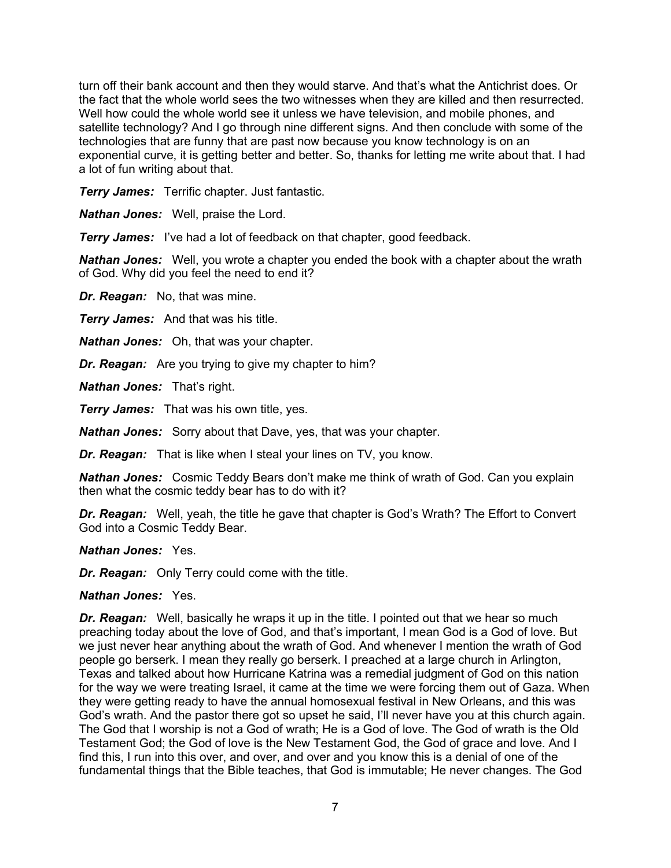turn off their bank account and then they would starve. And that's what the Antichrist does. Or the fact that the whole world sees the two witnesses when they are killed and then resurrected. Well how could the whole world see it unless we have television, and mobile phones, and satellite technology? And I go through nine different signs. And then conclude with some of the technologies that are funny that are past now because you know technology is on an exponential curve, it is getting better and better. So, thanks for letting me write about that. I had a lot of fun writing about that.

*Terry James:* Terrific chapter. Just fantastic.

*Nathan Jones:* Well, praise the Lord.

**Terry James:** I've had a lot of feedback on that chapter, good feedback.

*Nathan Jones:* Well, you wrote a chapter you ended the book with a chapter about the wrath of God. Why did you feel the need to end it?

*Dr. Reagan:* No, that was mine.

*Terry James:* And that was his title.

*Nathan Jones:* Oh, that was your chapter.

*Dr. Reagan:* Are you trying to give my chapter to him?

*Nathan Jones:* That's right.

*Terry James:* That was his own title, yes.

*Nathan Jones:* Sorry about that Dave, yes, that was your chapter.

*Dr. Reagan:* That is like when I steal your lines on TV, you know.

*Nathan Jones:* Cosmic Teddy Bears don't make me think of wrath of God. Can you explain then what the cosmic teddy bear has to do with it?

*Dr. Reagan:* Well, yeah, the title he gave that chapter is God's Wrath? The Effort to Convert God into a Cosmic Teddy Bear.

*Nathan Jones:* Yes.

*Dr. Reagan:* Only Terry could come with the title.

#### *Nathan Jones:* Yes.

*Dr. Reagan:* Well, basically he wraps it up in the title. I pointed out that we hear so much preaching today about the love of God, and that's important, I mean God is a God of love. But we just never hear anything about the wrath of God. And whenever I mention the wrath of God people go berserk. I mean they really go berserk. I preached at a large church in Arlington, Texas and talked about how Hurricane Katrina was a remedial judgment of God on this nation for the way we were treating Israel, it came at the time we were forcing them out of Gaza. When they were getting ready to have the annual homosexual festival in New Orleans, and this was God's wrath. And the pastor there got so upset he said, I'll never have you at this church again. The God that I worship is not a God of wrath; He is a God of love. The God of wrath is the Old Testament God; the God of love is the New Testament God, the God of grace and love. And I find this, I run into this over, and over, and over and you know this is a denial of one of the fundamental things that the Bible teaches, that God is immutable; He never changes. The God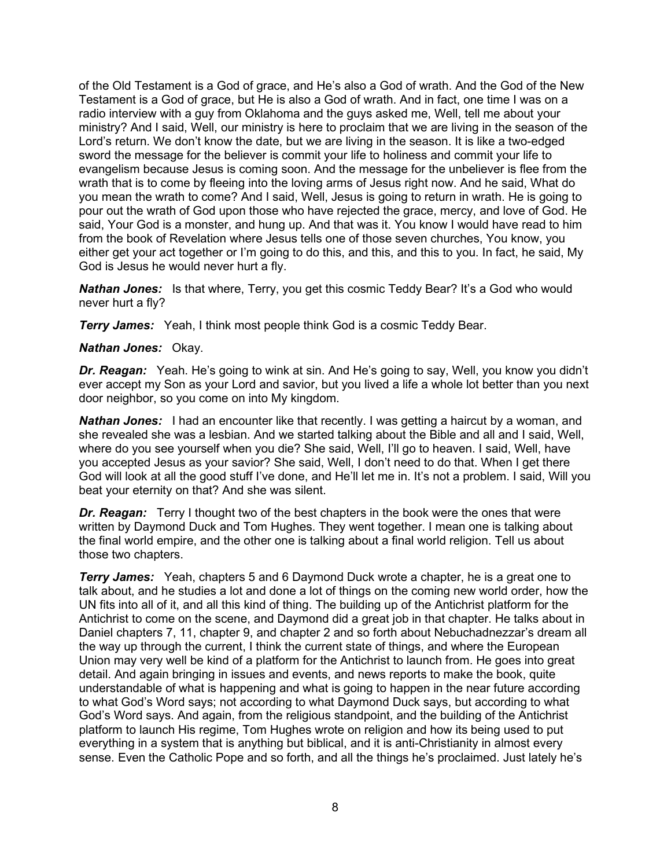of the Old Testament is a God of grace, and He's also a God of wrath. And the God of the New Testament is a God of grace, but He is also a God of wrath. And in fact, one time I was on a radio interview with a guy from Oklahoma and the guys asked me, Well, tell me about your ministry? And I said, Well, our ministry is here to proclaim that we are living in the season of the Lord's return. We don't know the date, but we are living in the season. It is like a two-edged sword the message for the believer is commit your life to holiness and commit your life to evangelism because Jesus is coming soon. And the message for the unbeliever is flee from the wrath that is to come by fleeing into the loving arms of Jesus right now. And he said, What do you mean the wrath to come? And I said, Well, Jesus is going to return in wrath. He is going to pour out the wrath of God upon those who have rejected the grace, mercy, and love of God. He said, Your God is a monster, and hung up. And that was it. You know I would have read to him from the book of Revelation where Jesus tells one of those seven churches, You know, you either get your act together or I'm going to do this, and this, and this to you. In fact, he said, My God is Jesus he would never hurt a fly.

*Nathan Jones:* Is that where, Terry, you get this cosmic Teddy Bear? It's a God who would never hurt a fly?

*Terry James:* Yeah, I think most people think God is a cosmic Teddy Bear.

## *Nathan Jones:* Okay.

*Dr. Reagan:* Yeah. He's going to wink at sin. And He's going to say, Well, you know you didn't ever accept my Son as your Lord and savior, but you lived a life a whole lot better than you next door neighbor, so you come on into My kingdom.

**Nathan Jones:** I had an encounter like that recently. I was getting a haircut by a woman, and she revealed she was a lesbian. And we started talking about the Bible and all and I said, Well, where do you see yourself when you die? She said, Well, I'll go to heaven. I said, Well, have you accepted Jesus as your savior? She said, Well, I don't need to do that. When I get there God will look at all the good stuff I've done, and He'll let me in. It's not a problem. I said, Will you beat your eternity on that? And she was silent.

*Dr. Reagan:* Terry I thought two of the best chapters in the book were the ones that were written by Daymond Duck and Tom Hughes. They went together. I mean one is talking about the final world empire, and the other one is talking about a final world religion. Tell us about those two chapters.

*Terry James:* Yeah, chapters 5 and 6 Daymond Duck wrote a chapter, he is a great one to talk about, and he studies a lot and done a lot of things on the coming new world order, how the UN fits into all of it, and all this kind of thing. The building up of the Antichrist platform for the Antichrist to come on the scene, and Daymond did a great job in that chapter. He talks about in Daniel chapters 7, 11, chapter 9, and chapter 2 and so forth about Nebuchadnezzar's dream all the way up through the current, I think the current state of things, and where the European Union may very well be kind of a platform for the Antichrist to launch from. He goes into great detail. And again bringing in issues and events, and news reports to make the book, quite understandable of what is happening and what is going to happen in the near future according to what God's Word says; not according to what Daymond Duck says, but according to what God's Word says. And again, from the religious standpoint, and the building of the Antichrist platform to launch His regime, Tom Hughes wrote on religion and how its being used to put everything in a system that is anything but biblical, and it is anti-Christianity in almost every sense. Even the Catholic Pope and so forth, and all the things he's proclaimed. Just lately he's